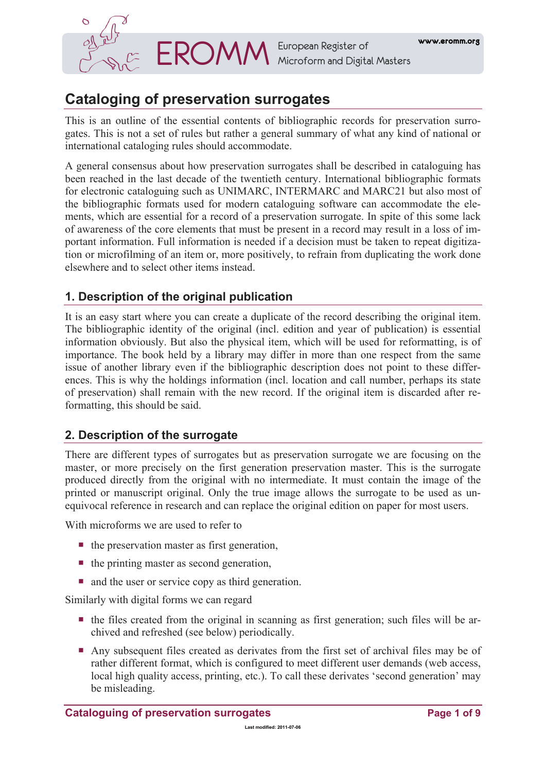

**EROMM** European Register of **www.eromm.org**<br> **EROMM** Microform and Digital Masters

# **Cataloging of preservation surrogates**

This is an outline of the essential contents of bibliographic records for preservation surrogates. This is not a set of rules but rather a general summary of what any kind of national or international cataloging rules should accommodate.

A general consensus about how preservation surrogates shall be described in cataloguing has been reached in the last decade of the twentieth century. International bibliographic formats for electronic cataloguing such as UNIMARC, INTERMARC and MARC21 but also most of the bibliographic formats used for modern cataloguing software can accommodate the elements, which are essential for a record of a preservation surrogate. In spite of this some lack of awareness of the core elements that must be present in a record may result in a loss of important information. Full information is needed if a decision must be taken to repeat digitization or microfilming of an item or, more positively, to refrain from duplicating the work done elsewhere and to select other items instead.

# **1. Description of the original publication**

It is an easy start where you can create a duplicate of the record describing the original item. The bibliographic identity of the original (incl. edition and year of publication) is essential information obviously. But also the physical item, which will be used for reformatting, is of importance. The book held by a library may differ in more than one respect from the same issue of another library even if the bibliographic description does not point to these differences. This is why the holdings information (incl. location and call number, perhaps its state of preservation) shall remain with the new record. If the original item is discarded after reformatting, this should be said.

# **2. Description of the surrogate**

There are different types of surrogates but as preservation surrogate we are focusing on the master, or more precisely on the first generation preservation master. This is the surrogate produced directly from the original with no intermediate. It must contain the image of the printed or manuscript original. Only the true image allows the surrogate to be used as unequivocal reference in research and can replace the original edition on paper for most users.

With microforms we are used to refer to

- $\blacksquare$  the preservation master as first generation,
- $\blacksquare$  the printing master as second generation,
- and the user or service copy as third generation.

Similarly with digital forms we can regard

- $\blacksquare$  the files created from the original in scanning as first generation; such files will be archived and refreshed (see below) periodically.
- Any subsequent files created as derivates from the first set of archival files may be of rather different format, which is configured to meet different user demands (web access, local high quality access, printing, etc.). To call these derivates 'second generation' may be misleading.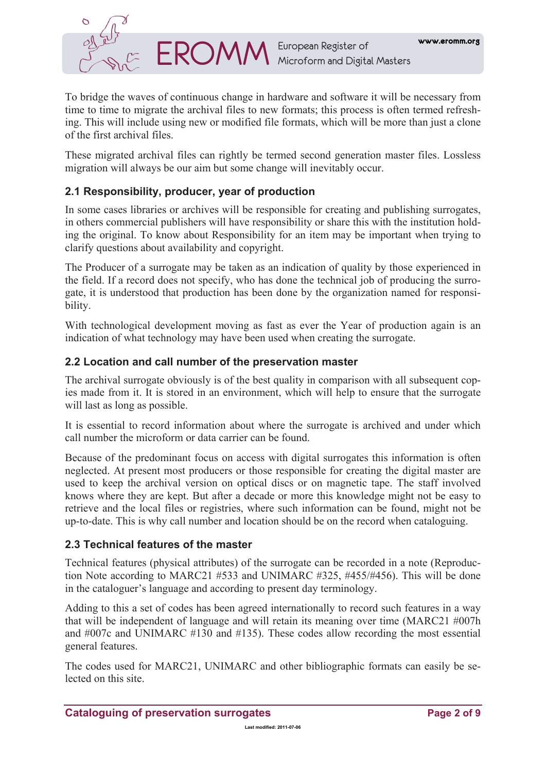

To bridge the waves of continuous change in hardware and software it will be necessary from time to time to migrate the archival files to new formats; this process is often termed refreshing. This will include using new or modified file formats, which will be more than just a clone of the first archival files.

These migrated archival files can rightly be termed second generation master files. Lossless migration will always be our aim but some change will inevitably occur.

# **2.1 Responsibility, producer, year of production**

In some cases libraries or archives will be responsible for creating and publishing surrogates, in others commercial publishers will have responsibility or share this with the institution holding the original. To know about Responsibility for an item may be important when trying to clarify questions about availability and copyright.

The Producer of a surrogate may be taken as an indication of quality by those experienced in the field. If a record does not specify, who has done the technical job of producing the surrogate, it is understood that production has been done by the organization named for responsibility.

With technological development moving as fast as ever the Year of production again is an indication of what technology may have been used when creating the surrogate.

# **2.2 Location and call number of the preservation master**

The archival surrogate obviously is of the best quality in comparison with all subsequent copies made from it. It is stored in an environment, which will help to ensure that the surrogate will last as long as possible.

It is essential to record information about where the surrogate is archived and under which call number the microform or data carrier can be found.

Because of the predominant focus on access with digital surrogates this information is often neglected. At present most producers or those responsible for creating the digital master are used to keep the archival version on optical discs or on magnetic tape. The staff involved knows where they are kept. But after a decade or more this knowledge might not be easy to retrieve and the local files or registries, where such information can be found, might not be up-to-date. This is why call number and location should be on the record when cataloguing.

# **2.3 Technical features of the master**

Technical features (physical attributes) of the surrogate can be recorded in a note (Reproduction Note according to MARC21 #533 and UNIMARC #325, #455/#456). This will be done in the cataloguer's language and according to present day terminology.

Adding to this a set of codes has been agreed internationally to record such features in a way that will be independent of language and will retain its meaning over time (MARC21 #007h and #007c and UNIMARC #130 and #135). These codes allow recording the most essential general features.

The codes used for MARC21, UNIMARC and other bibliographic formats can easily be selected on this site.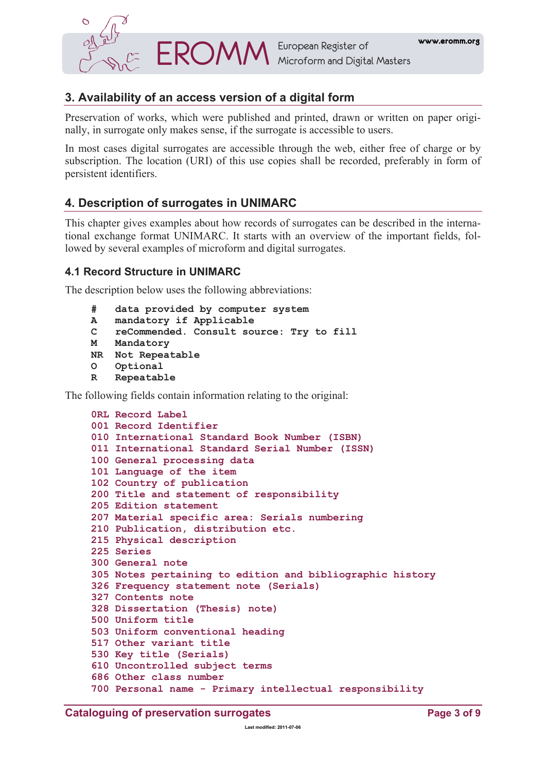

# **3. Availability of an access version of a digital form**

Preservation of works, which were published and printed, drawn or written on paper originally, in surrogate only makes sense, if the surrogate is accessible to users.

In most cases digital surrogates are accessible through the web, either free of charge or by subscription. The location (URI) of this use copies shall be recorded, preferably in form of persistent identifiers.

# **4. Description of surrogates in UNIMARC**

This chapter gives examples about how records of surrogates can be described in the international exchange format UNIMARC. It starts with an overview of the important fields, followed by several examples of microform and digital surrogates.

# **4.1 Record Structure in UNIMARC**

The description below uses the following abbreviations:

```
# data provided by computer system 
A mandatory if Applicable 
C reCommended. Consult source: Try to fill 
M Mandatory 
NR Not Repeatable 
O Optional 
R Repeatable
```
The following fields contain information relating to the original:

```
0RL Record Label 
001 Record Identifier 
010 International Standard Book Number (ISBN)
011 International Standard Serial Number (ISSN) 
100 General processing data 
101 Language of the item 
102 Country of publication 
200 Title and statement of responsibility 
205 Edition statement 
207 Material specific area: Serials numbering 
210 Publication, distribution etc. 
215 Physical description 
225 Series 
300 General note 
305 Notes pertaining to edition and bibliographic history 
326 Frequency statement note (Serials) 
327 Contents note 
328 Dissertation (Thesis) note) 
500 Uniform title 
503 Uniform conventional heading 
517 Other variant title 
530 Key title (Serials) 
610 Uncontrolled subject terms 
686 Other class number 
700 Personal name - Primary intellectual responsibility
```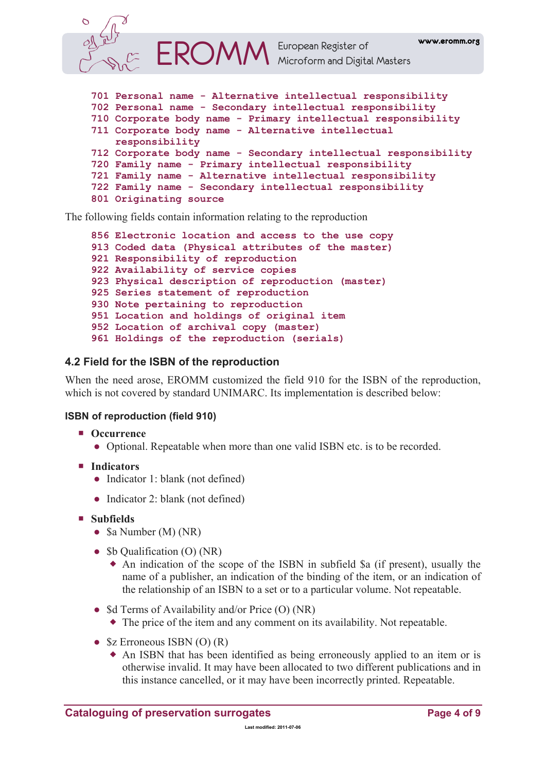

- **[722 Family name Secondary intellectual responsibility](http://www.ifla.org/VI/3/p1996-1/uni7.htm#722)**
- **[801 Originating source](http://www.ifla.org/VI/3/p1996-1/uni8.htm#801)**

The following fields contain information relating to the reproduction

```
856 Electronic location and access to the use copy 
913 Coded data (Physical attributes of the master) 
921 Responsibility of reproduction 
922 Availability of service copies 
923 Physical description of reproduction (master) 
925 Series statement of reproduction 
930 Note pertaining to reproduction 
951 Location and holdings of original item 
952 Location of archival copy (master) 
961 Holdings of the reproduction (serials)
```
# **4.2 Field for the ISBN of the reproduction**

When the need arose, EROMM customized the field 910 for the ISBN of the reproduction, which is not covered by standard UNIMARC. Its implementation is described below:

# **ISBN of reproduction (field 910)**

- Occurrence
	- Optional. Repeatable when more than one valid ISBN etc. is to be recorded.
- **Indicators** 
	- Indicator 1: blank (not defined)
	- Indicator 2: blank (not defined)
- **Subfields** 
	- \$a Number (M) (NR)
	- \$b Qualification (O) (NR)
		- An indication of the scope of the ISBN in subfield \$a (if present), usually the name of a publisher, an indication of the binding of the item, or an indication of the relationship of an ISBN to a set or to a particular volume. Not repeatable.
	- \$d Terms of Availability and/or Price (O) (NR)
		- The price of the item and any comment on its availability. Not repeatable.
	- $\&$  Erroneous ISBN (O) (R)
		- An ISBN that has been identified as being erroneously applied to an item or is otherwise invalid. It may have been allocated to two different publications and in this instance cancelled, or it may have been incorrectly printed. Repeatable.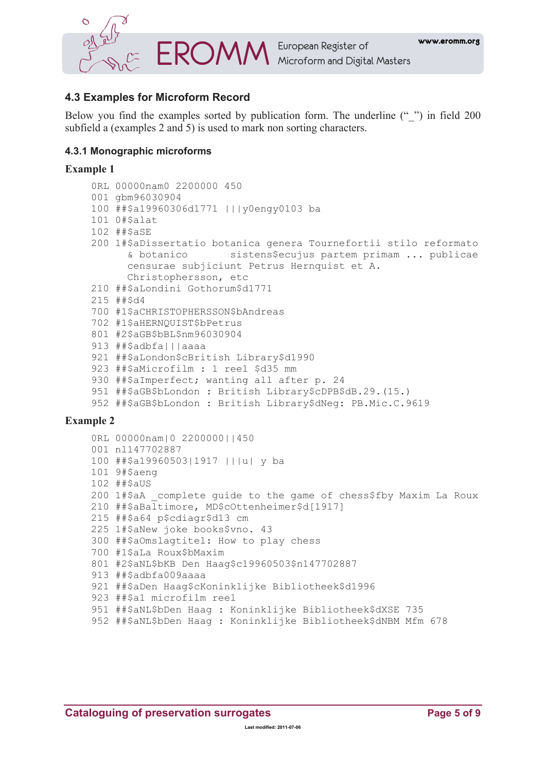

# 4.3 Examples for Microform Record

Below you find the examples sorted by publication form. The underline ("") in field 200 subfield a (examples 2 and 5) is used to mark non sorting characters.

### 4.3.1 Monographic microforms

#### **Example 1**

```
ORL 00000nam0 2200000 450
001 abm96030904
100 ##$a19960306d1771 |||y0engy0103 ba
101 O#$alat
102 ##$aSE
200 1#$aDissertatio botanica genera Tournefortii stilo reformato
      & botanico sistens$ecujus partem primam ... publicae
      censurae subjiciunt Petrus Hernquist et A.
      Christophersson, etc
210 ##SaLondini GothorumSd1771
215 ##$d4
700 #1$aCHRISTOPHERSSON$bAndreas
702 #1$aHERNOUIST$bPetrus
801 #2$aGB$bBL$nm96030904
913 ##$adbfa|||aaaa
921 ##$aLondon$cBritish Library$d1990
923 ##$aMicrofilm : 1 reel $d35 mm
930 ##$aImperfect; wanting all after p. 24
951 ##$aGB$bLondon : British Library$cDPB$dB.29.(15.)
952 ##$aGB$bLondon : British Library$dNeg: PB.Mic.C.9619
```

```
ORL 00000nam|0 2200000||450
001 nl147702887
100 ##$a19960503|1917 |||u| y ba
101 9#$aenq
102 ##$aUS
200 1#$aA complete quide to the qame of chess$fby Maxim La Roux
210 ##$aBaltimore, MD$cOttenheimer$d[1917]
215 ##$a64 p$cdiagr$d13 cm
225 1#$aNew joke books$vno. 43
300 ##$aOmslagtitel: How to play chess
700 #1$aLa Roux$bMaxim
801 #2$aNL$bKB Den Haag$c19960503$n147702887
913 ##$adbfa009aaaa
921 ##$aDen Haag$cKoninklijke Bibliotheek$d1996
923 ##$a1 microfilm reel
951 ##$aNL$bDen Haag : Koninklijke Bibliotheek$dXSE 735
952 ##$aNL$bDen Haag : Koninklijke Bibliotheek$dNBM Mfm 678
```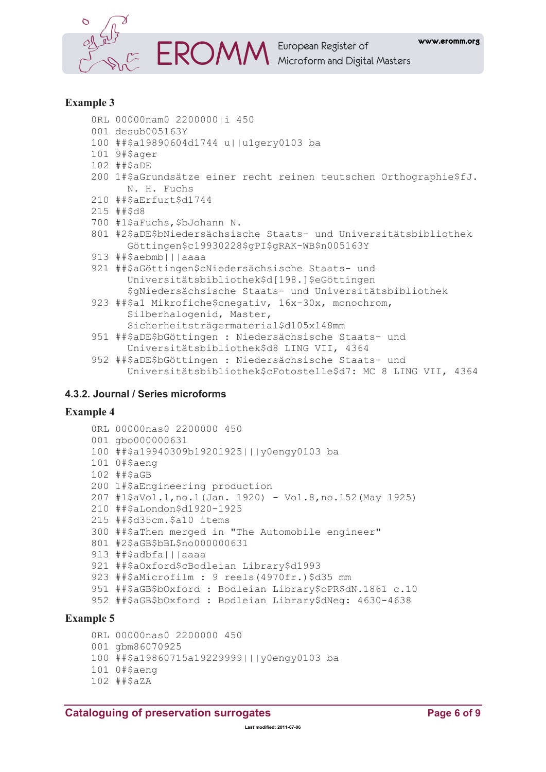

**EROMM** European Register of Microform and Digital Masters

# **Example 3**

- ORL 00000nam0 2200000|i 450
- 001 desub005163Y
- 100 ##\$a19890604d1744 u||u1qery0103 ba
- 101 9#\$ager
- 102 ##\$aDE
- 200 1#\$aGrundsätze einer recht reinen teutschen Orthographie\$fJ. N. H. Fuchs
- 210 ##\$aErfurt\$d1744
- 215 ##\$d8
- 700 #1\$aFuchs, \$bJohann N.
- 801 #2\$aDE\$bNiedersächsische Staats- und Universitätsbibliothek Göttingen\$c19930228\$gPI\$gRAK-WB\$n005163Y
- 913 ##\$aebmb|||aaaa
- 921 ##\$aGöttingen\$cNiedersächsische Staats- und Universitätsbibliothek\$d[198.]\$eGöttingen \$qNiedersächsische Staats- und Universitätsbibliothek
- 923 ##\$a1 Mikrofiche\$cnegativ, 16x-30x, monochrom, Silberhalogenid, Master, Sicherheitsträgermaterial\$d105x148mm
- 951 ##\$aDE\$bGöttingen : Niedersächsische Staats- und Universitätsbibliothek\$d8 LING VII, 4364
- 952 ##\$aDE\$bGöttingen : Niedersächsische Staats- und Universitätsbibliothek\$cFotostelle\$d7: MC 8 LING VII, 4364

# 4.3.2. Journal / Series microforms

#### **Example 4**

```
ORL 00000nas0 2200000 450
001 abo000000631
100 ##$a19940309b19201925|||y0engy0103 ba
101 0#$aeng
102 ##$aGB
200 1#$aEngineering production
207 #1$aVol.1, no.1(Jan. 1920) - Vol.8, no.152 (May 1925)
210 ##$aLondon$d1920-1925
215 ##$d35cm.$a10 items
300 ##$aThen merged in "The Automobile engineer"
801 #2$aGB$bBL$no000000631
913 ##$adbfa|||aaaa
921 ##$aOxford$cBodleian Library$d1993
923 ##$aMicrofilm : 9 reels (4970fr.) $d35 mm
951 ##$aGB$bOxford : Bodleian Library$cPR$dN.1861 c.10
952 ##$aGB$bOxford : Bodleian Library$dNeg: 4630-4638
```
# **Example 5**

ORL 00000nas0 2200000 450 001 gbm86070925 100 ##\$a19860715a19229999|||v0enqy0103 ba 101 0#\$aeng 102 ##\$aZA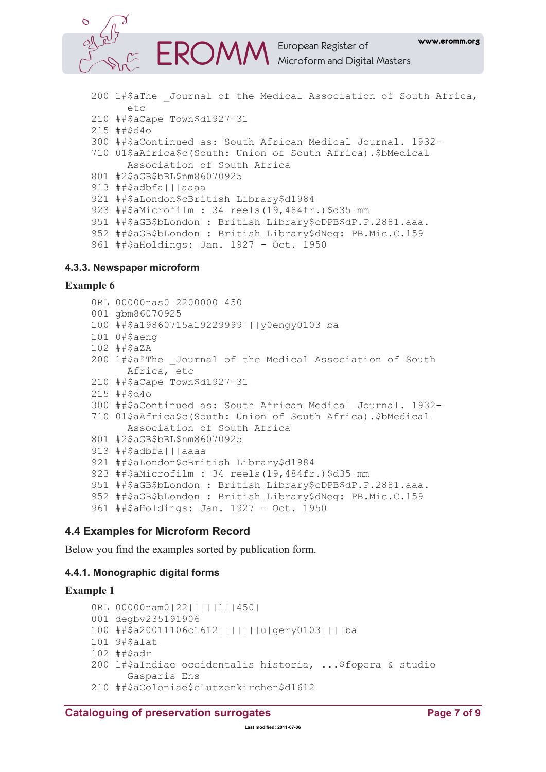

- 200 1#\$aThe Journal of the Medical Association of South Africa, etc
- 210 ##\$aCape Town\$d1927-31
- 215 ##\$d4o
- 300 ##\$aContinued as: South African Medical Journal. 1932-
- 710 01\$aAfrica\$c(South: Union of South Africa).\$bMedical Association of South Africa
- 801 #2\$aGB\$bBL\$nm86070925
- 913 ##\$adbfalllaaaa
- 921 ##\$aLondon\$cBritish Library\$d1984
- 923 ##\$aMicrofilm : 34 reels (19,484fr.) \$d35 mm
- 951 ##\$aGB\$bLondon : British Library\$cDPB\$dP.P.2881.aaa.
- 952 ##\$aGB\$bLondon : British Library\$dNeg: PB.Mic.C.159

```
961 ##$aHoldings: Jan. 1927 - Oct. 1950
```
#### 4.3.3. Newspaper microform

#### **Example 6**

ORL 00000nas0 2200000 450 001 gbm86070925 100 ##\$a19860715a19229999|||y0engy0103 ba 101 0#\$aeng 102 ##\$aZA 200 1#\$a<sup>2</sup>The Journal of the Medical Association of South Africa, etc 210 ##\$aCape Town\$d1927-31 215 ##\$d4o 300 ##\$aContinued as: South African Medical Journal. 1932-710 01\$aAfrica\$c(South: Union of South Africa).\$bMedical Association of South Africa 801 #2\$aGB\$bBL\$nm86070925 913 ##\$adbfalllaaaa 921 ##\$aLondon\$cBritish Library\$d1984 923 ##\$aMicrofilm : 34 reels (19,484fr.) \$d35 mm 951 ##\$aGB\$bLondon : British Library\$cDPB\$dP.P.2881.aaa. 952 ##\$aGB\$bLondon : British Library\$dNeg: PB.Mic.C.159 961 ##\$aHoldings: Jan. 1927 - Oct. 1950

# 4.4 Examples for Microform Record

Below you find the examples sorted by publication form.

# 4.4.1. Monographic digital forms

```
ORL 00000nam012211111114501
001 degbv235191906
100 ##$a20011106c1612|||||||u|qery0103||||ba
101 9#$alat
102 ##$adr
200 l#$aIndiae occidentalis historia, ... $fopera & studio
      Gasparis Ens
210 ##$aColoniae$cLutzenkirchen$d1612
```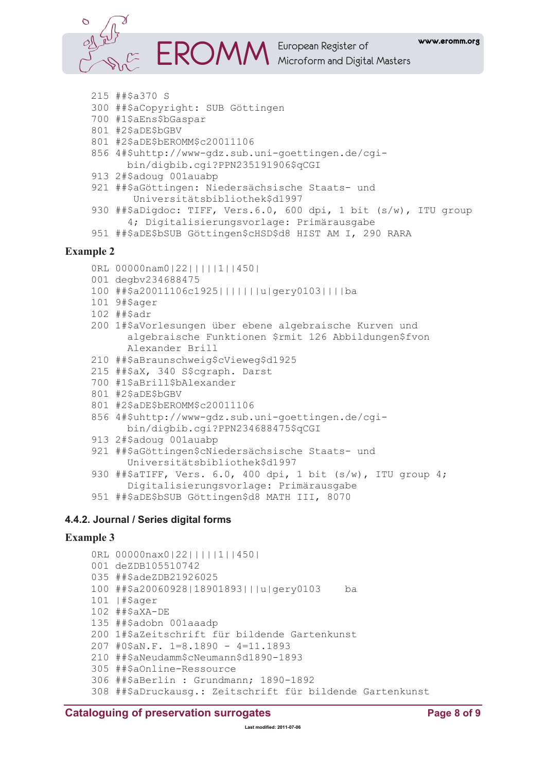

**M** European Register of<br>Microform and Digital Masters

```
215 ##$a370 S
```
- 300 ##\$aCopyright: SUB Göttingen
- 700 #1\$aEns\$bGaspar
- 801 #2\$aDE\$bGBV
- 801 #2\$aDE\$bEROMM\$c20011106
- 856 4#\$uhttp://www-gdz.sub.uni-goettingen.de/cgibin/digbib.cgi?PPN235191906\$qCGI
- 913 2#\$adoug 001auabp
- 921 ##\$aGöttingen: Niedersächsische Staats- und Universitätsbibliothek\$d1997
- 930 ##\$aDigdoc: TIFF, Vers.6.0, 600 dpi, 1 bit (s/w), ITU group 4; Digitalisierungsvorlage: Primärausgabe

```
951 ##$aDE$bSUB Göttingen$cHSD$d8 HIST AM I, 290 RARA
```
#### **Example 2**

```
ORL 00000nam0 | 22 | | | | | 1 | | 450 |
```
- 001 degby234688475
- 100 ##\$a20011106c1925|||||||u|qery0103||||ba
- 101 9#\$ager
- 102 ##\$adr
- 200 1#\$aVorlesungen über ebene algebraische Kurven und algebraische Funktionen \$rmit 126 Abbildungen\$fvon Alexander Brill
- 210 ##\$aBraunschweig\$cVieweg\$d1925
- 215 ##\$aX, 340 S\$cqraph. Darst
- 700 #1\$aBrill\$bAlexander
- 801 #2\$aDE\$bGBV
- 801 #2\$aDE\$bEROMM\$c20011106
- 856 4#\$uhttp://www-qdz.sub.uni-goettingen.de/cgibin/digbib.cqi?PPN234688475\$qCGI
- 913 2#\$adoug 001auabp
- 921 ##\$aGöttingen\$cNiedersächsische Staats- und Universitätsbibliothek\$d1997
- 930 ##\$aTIFF, Vers. 6.0, 400 dpi, 1 bit (s/w), ITU group 4; Digitalisierungsvorlage: Primärausgabe
- 951 ##\$aDE\$bSUB Göttingen\$d8 MATH III, 8070

#### 4.4.2. Journal / Series digital forms

```
ORL 00000nax0 | 22 | | | | | 1 | | 450 |
001 deZDB105510742
035 ##$adeZDB21926025
100 ##$a20060928|18901893|||u|gery0103
                                            ha
101 |#$ager
102 ##$aXA-DE
135 ##$adobn 001aaadp
200 1#$aZeitschrift für bildende Gartenkunst
207 #0$aN.F. 1=8.1890 - 4=11.1893
210 ##$aNeudamm$cNeumann$d1890-1893
305 ##$aOnline-Ressource
306 ##$aBerlin : Grundmann; 1890-1892
308 ##$aDruckausg.: Zeitschrift für bildende Gartenkunst
```